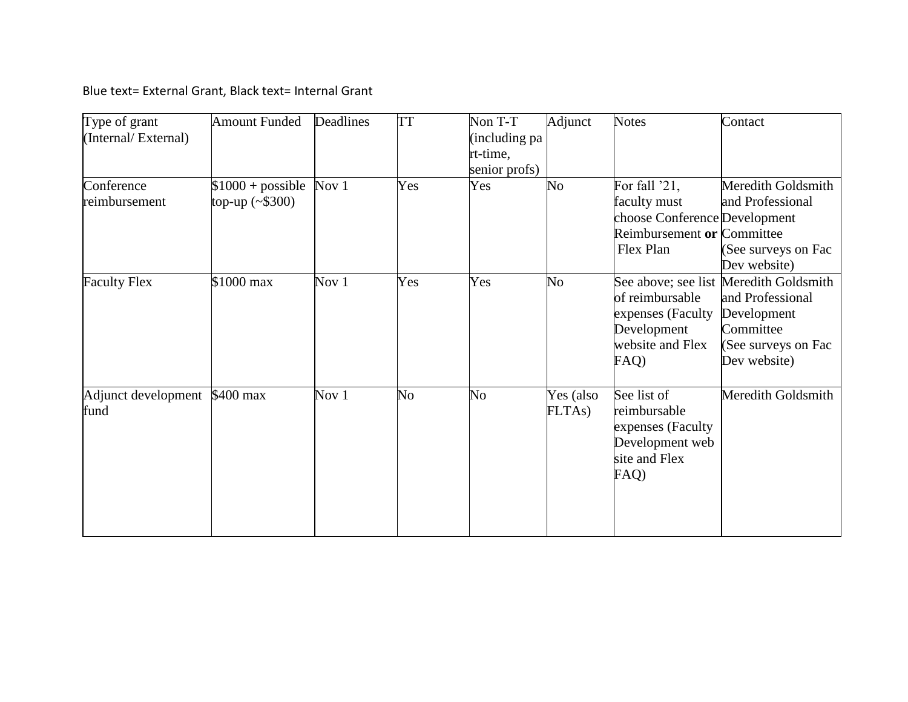Blue text= External Grant, Black text= Internal Grant

| Type of grant<br>(Internal/External) | <b>Amount Funded</b>                    | Deadlines | <b>TT</b> | Non T-T<br>including pa<br>rt-time,<br>senior profs) | Adjunct             | <b>Notes</b>                                                                                              | Contact                                                                                                                       |
|--------------------------------------|-----------------------------------------|-----------|-----------|------------------------------------------------------|---------------------|-----------------------------------------------------------------------------------------------------------|-------------------------------------------------------------------------------------------------------------------------------|
| Conference<br>reimbursement          | $$1000 + possible$<br>top-up $(*\$300)$ | Nov 1     | Yes       | Yes                                                  | $\overline{N_{O}}$  | For fall '21,<br>faculty must<br>choose Conference Development<br>Reimbursement or Committee<br>Flex Plan | Meredith Goldsmith<br>and Professional<br>(See surveys on Fac<br>Dev website)                                                 |
| <b>Faculty Flex</b>                  | \$1000 max                              | Nov $1$   | Yes       | Yes                                                  | No                  | of reimbursable<br>expenses (Faculty<br>Development<br>website and Flex<br>FAQ)                           | See above; see list Meredith Goldsmith<br>and Professional<br>Development<br>Committee<br>(See surveys on Fac<br>Dev website) |
| Adjunct development<br>fund          | \$400 max                               | Nov $1$   | No        | No                                                   | Yes (also<br>FLTAs) | See list of<br>reimbursable<br>expenses (Faculty<br>Development web<br>site and Flex<br>FAQ)              | Meredith Goldsmith                                                                                                            |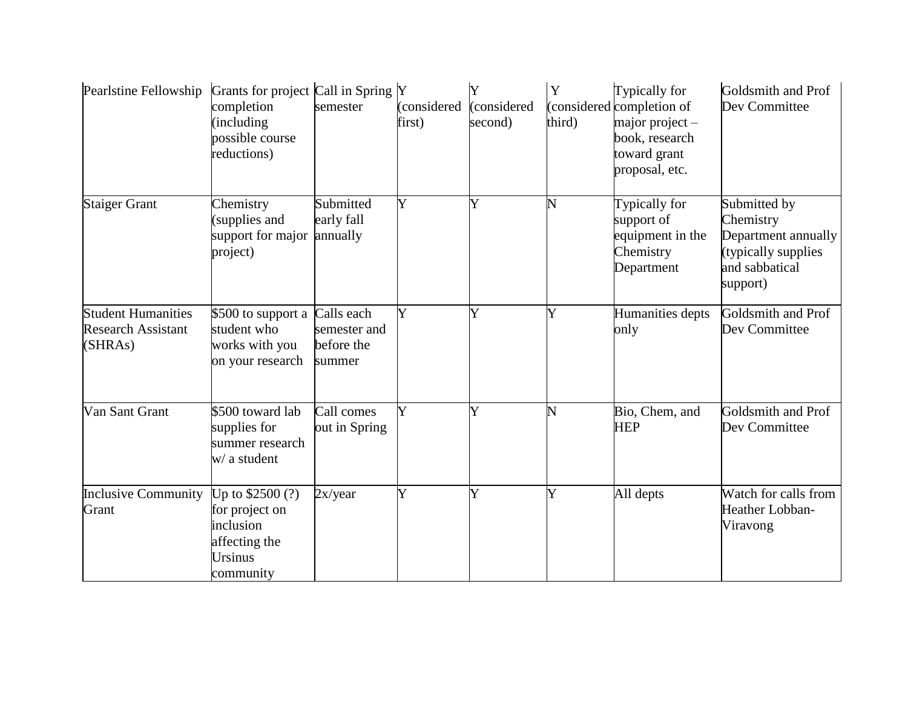| Pearlstine Fellowship                                             | Grants for project Call in Spring Y<br>completion<br>(including)<br>possible course<br>reductions) | semester                             | (considered<br>first) | (considered<br>second) | Y<br>third) | Typically for<br>considered completion of<br>$major project -$<br>book, research<br>toward grant<br>proposal, etc. | Goldsmith and Prof<br>Dev Committee                                                                   |
|-------------------------------------------------------------------|----------------------------------------------------------------------------------------------------|--------------------------------------|-----------------------|------------------------|-------------|--------------------------------------------------------------------------------------------------------------------|-------------------------------------------------------------------------------------------------------|
| <b>Staiger Grant</b>                                              | Chemistry<br>supplies and<br>support for major<br>project)                                         | Submitted<br>early fall<br>annually  | Y                     |                        | N           | Typically for<br>support of<br>equipment in the<br>Chemistry<br>Department                                         | Submitted by<br>Chemistry<br>Department annually<br>(typically supplies<br>and sabbatical<br>support) |
| <b>Student Humanities</b><br><b>Research Assistant</b><br>(SHRAs) | \$500 to support a Calls each<br>student who<br>works with you<br>on your research                 | semester and<br>before the<br>summer | Y                     | Ý                      | Y           | Humanities depts<br>only                                                                                           | Goldsmith and Prof<br>Dev Committee                                                                   |
| Van Sant Grant                                                    | \$500 toward lab<br>supplies for<br>summer research<br>w/ a student                                | Call comes<br>out in Spring          | Ý                     |                        | Ñ           | Bio, Chem, and<br><b>HEP</b>                                                                                       | Goldsmith and Prof<br>Dev Committee                                                                   |
| <b>Inclusive Community</b><br>Grant                               | Up to $$2500(?)$<br>for project on<br>inclusion<br>affecting the<br>Ursinus<br>community           | 2x/year                              | Y                     | Ý                      | Y           | All depts                                                                                                          | Watch for calls from<br>Heather Lobban-<br>Viravong                                                   |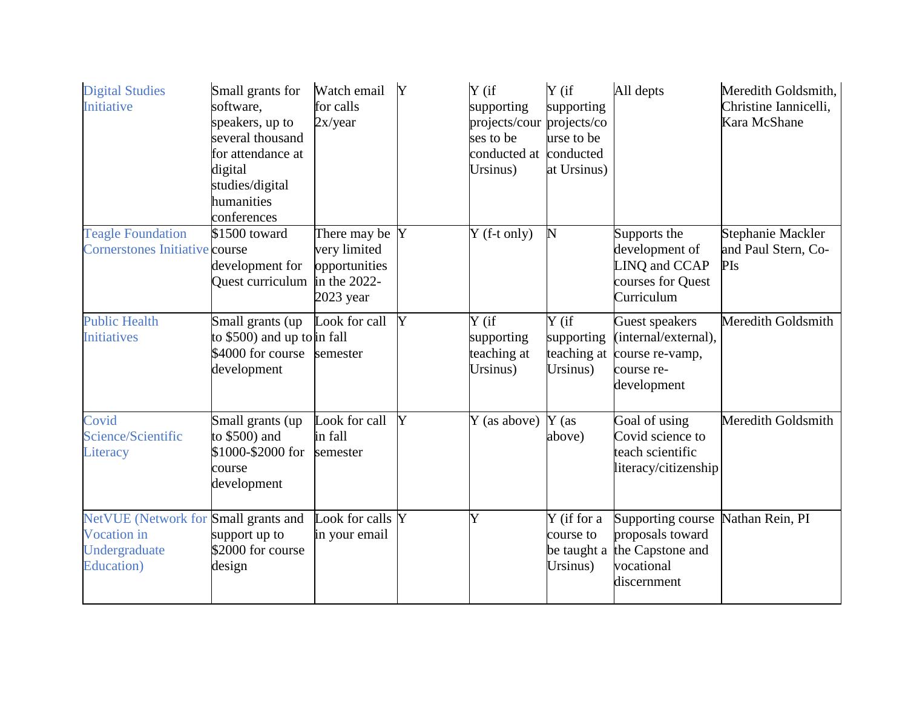| <b>Digital Studies</b><br>Initiative                                                       | Small grants for<br>software,<br>speakers, up to<br>several thousand<br>for attendance at<br>digital<br>studies/digital<br>humanities<br>conferences | Watch email<br>for calls<br>2x/year                                            | Y | $Y$ (if<br>supporting<br>projects/cour projects/co<br>ses to be<br>conducted at<br>Ursinus) | $Y$ (if<br>supporting<br>urse to be<br>conducted<br>at Ursinus) | All depts                                                                              | Meredith Goldsmith,<br>Christine Iannicelli,<br>Kara McShane |
|--------------------------------------------------------------------------------------------|------------------------------------------------------------------------------------------------------------------------------------------------------|--------------------------------------------------------------------------------|---|---------------------------------------------------------------------------------------------|-----------------------------------------------------------------|----------------------------------------------------------------------------------------|--------------------------------------------------------------|
| <b>Teagle Foundation</b><br><b>Cornerstones Initiative course</b>                          | \$1500 toward<br>development for<br>Quest curriculum                                                                                                 | There may be Y<br>very limited<br>opportunities<br>in the 2022-<br>$2023$ year |   | $Y$ (f-t only)                                                                              | N                                                               | Supports the<br>development of<br>LINQ and CCAP<br>courses for Quest<br>Curriculum     | Stephanie Mackler<br>and Paul Stern, Co-<br>PIs              |
| <b>Public Health</b><br><b>Initiatives</b>                                                 | Small grants (up<br>to \$500) and up to in fall<br>\$4000 for course<br>development                                                                  | Look for call<br>semester                                                      | Y | Y (if<br>supporting<br>teaching at<br>Ursinus)                                              | $Y$ (if<br>supporting<br>teaching at<br>Ursinus)                | Guest speakers<br>(internal/external),<br>course re-vamp,<br>course re-<br>development | Meredith Goldsmith                                           |
| Covid<br>Science/Scientific<br>Literacy                                                    | Small grants (up<br>to \$500) and<br>\$1000-\$2000 for<br>course<br>development                                                                      | Look for call<br>in fall<br>semester                                           | Y | Y (as above)                                                                                | $Y$ (as<br>above)                                               | Goal of using<br>Covid science to<br>teach scientific<br>literacy/citizenship          | Meredith Goldsmith                                           |
| NetVUE (Network for Small grants and<br>Vocation in<br>Undergraduate<br><b>Education</b> ) | support up to<br>\$2000 for course<br>design                                                                                                         | Look for calls Y<br>in your email                                              |   | Y                                                                                           | Y (if for a<br>course to<br>be taught a<br>Ursinus)             | Supporting course<br>proposals toward<br>the Capstone and<br>vocational<br>discernment | Nathan Rein, PI                                              |